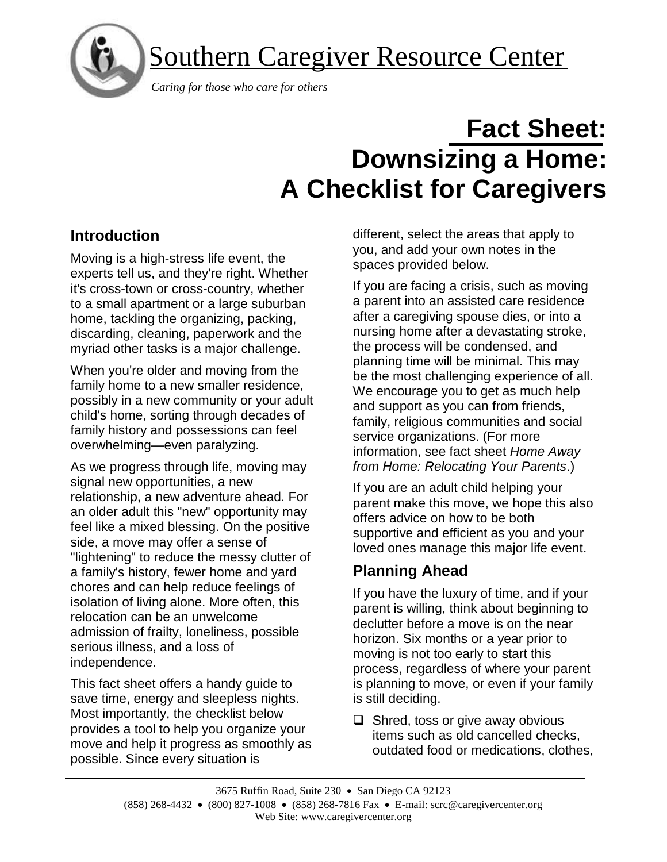

Southern Caregiver Resource Center

 *Caring for those who care for others*

# **Fact Sheet: Downsizing a Home: A Checklist for Caregivers**

# **Introduction**

Moving is a high-stress life event, the experts tell us, and they're right. Whether it's cross-town or cross-country, whether to a small apartment or a large suburban home, tackling the organizing, packing, discarding, cleaning, paperwork and the myriad other tasks is a major challenge.

When you're older and moving from the family home to a new smaller residence, possibly in a new community or your adult child's home, sorting through decades of family history and possessions can feel overwhelming—even paralyzing.

As we progress through life, moving may signal new opportunities, a new relationship, a new adventure ahead. For an older adult this "new" opportunity may feel like a mixed blessing. On the positive side, a move may offer a sense of "lightening" to reduce the messy clutter of a family's history, fewer home and yard chores and can help reduce feelings of isolation of living alone. More often, this relocation can be an unwelcome admission of frailty, loneliness, possible serious illness, and a loss of independence.

This fact sheet offers a handy guide to save time, energy and sleepless nights. Most importantly, the checklist below provides a tool to help you organize your move and help it progress as smoothly as possible. Since every situation is

different, select the areas that apply to you, and add your own notes in the spaces provided below.

If you are facing a crisis, such as moving a parent into an assisted care residence after a caregiving spouse dies, or into a nursing home after a devastating stroke, the process will be condensed, and planning time will be minimal. This may be the most challenging experience of all. We encourage you to get as much help and support as you can from friends, family, religious communities and social service organizations. (For more information, see fact sheet *[Home Away](http://caregiver.org/node/228)  [from Home: Relocating Your Parents](http://caregiver.org/node/228)*.)

If you are an adult child helping your parent make this move, we hope this also offers advice on how to be both supportive and efficient as you and your loved ones manage this major life event.

# **Planning Ahead**

If you have the luxury of time, and if your parent is willing, think about beginning to declutter before a move is on the near horizon. Six months or a year prior to moving is not too early to start this process, regardless of where your parent is planning to move, or even if your family is still deciding.

❑ Shred, toss or give away obvious items such as old cancelled checks, outdated food or medications, clothes,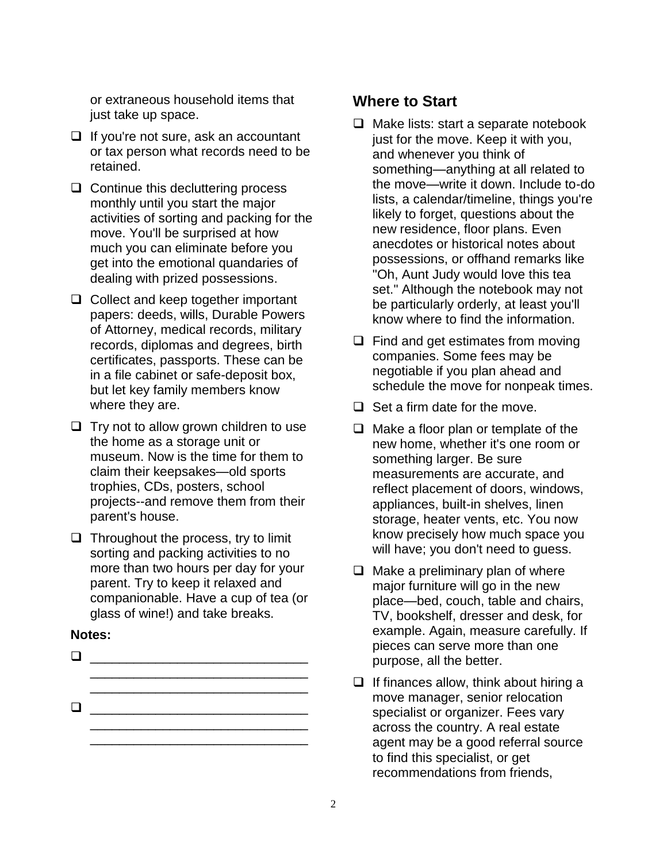or extraneous household items that just take up space.

- ❑ If you're not sure, ask an accountant or tax person what records need to be retained.
- ❑ Continue this decluttering process monthly until you start the major activities of sorting and packing for the move. You'll be surprised at how much you can eliminate before you get into the emotional quandaries of dealing with prized possessions.
- ❑ Collect and keep together important papers: deeds, wills, Durable Powers of Attorney, medical records, military records, diplomas and degrees, birth certificates, passports. These can be in a file cabinet or safe-deposit box, but let key family members know where they are.
- ❑ Try not to allow grown children to use the home as a storage unit or museum. Now is the time for them to claim their keepsakes—old sports trophies, CDs, posters, school projects--and remove them from their parent's house.
- ❑ Throughout the process, try to limit sorting and packing activities to no more than two hours per day for your parent. Try to keep it relaxed and companionable. Have a cup of tea (or glass of wine!) and take breaks.

#### **Notes:**

❑ \_\_\_\_\_\_\_\_\_\_\_\_\_\_\_\_\_\_\_\_\_\_\_\_\_\_\_\_\_\_ \_\_\_\_\_\_\_\_\_\_\_\_\_\_\_\_\_\_\_\_\_\_\_\_\_\_\_\_\_\_  $\Box$ 

\_\_\_\_\_\_\_\_\_\_\_\_\_\_\_\_\_\_\_\_\_\_\_\_\_\_\_\_\_\_

## **Where to Start**

- ❑ Make lists: start a separate notebook just for the move. Keep it with you, and whenever you think of something—anything at all related to the move—write it down. Include to-do lists, a calendar/timeline, things you're likely to forget, questions about the new residence, floor plans. Even anecdotes or historical notes about possessions, or offhand remarks like "Oh, Aunt Judy would love this tea set." Although the notebook may not be particularly orderly, at least you'll know where to find the information.
- ❑ Find and get estimates from moving companies. Some fees may be negotiable if you plan ahead and schedule the move for nonpeak times.
- ❑ Set a firm date for the move.
- ❑ Make a floor plan or template of the new home, whether it's one room or something larger. Be sure measurements are accurate, and reflect placement of doors, windows, appliances, built-in shelves, linen storage, heater vents, etc. You now know precisely how much space you will have; you don't need to guess.
- $\Box$  Make a preliminary plan of where major furniture will go in the new place—bed, couch, table and chairs, TV, bookshelf, dresser and desk, for example. Again, measure carefully. If pieces can serve more than one purpose, all the better.
- $\Box$  If finances allow, think about hiring a move manager, senior relocation specialist or organizer. Fees vary across the country. A real estate agent may be a good referral source to find this specialist, or get recommendations from friends,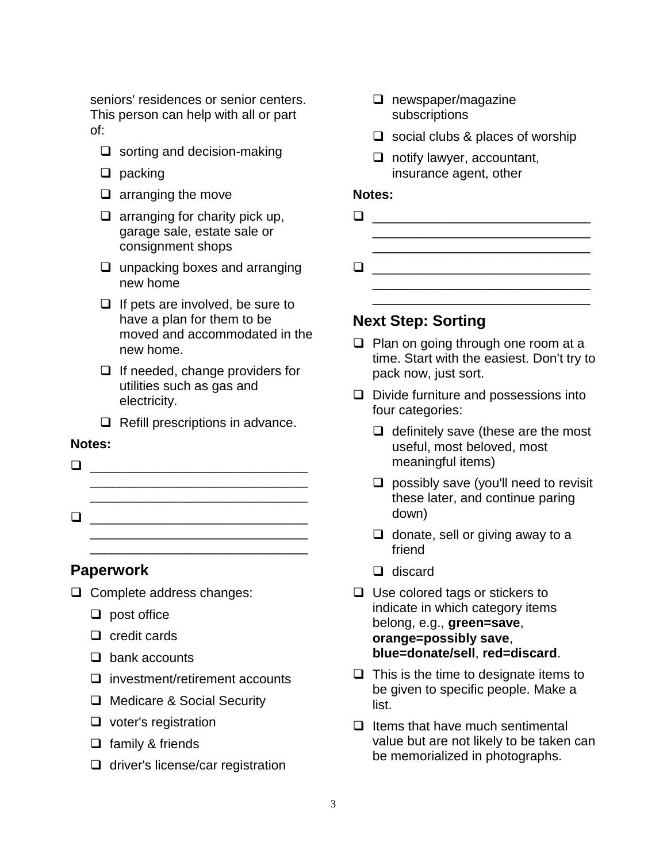seniors' residences or senior centers. This person can help with all or part of:

- ❑ sorting and decision-making
- ❑ packing
- ❑ arranging the move
- $\Box$  arranging for charity pick up, garage sale, estate sale or consignment shops
- ❑ unpacking boxes and arranging new home
- ❑ If pets are involved, be sure to have a plan for them to be moved and accommodated in the new home.
- ❑ If needed, change providers for utilities such as gas and electricity.
- ❑ Refill prescriptions in advance.

\_\_\_\_\_\_\_\_\_\_\_\_\_\_\_\_\_\_\_\_\_\_\_\_\_\_\_\_\_\_

#### **Notes:**

 $\Box$ \_\_\_\_\_\_\_\_\_\_\_\_\_\_\_\_\_\_\_\_\_\_\_\_\_\_\_\_\_\_ \_\_\_\_\_\_\_\_\_\_\_\_\_\_\_\_\_\_\_\_\_\_\_\_\_\_\_\_\_\_ ❑ \_\_\_\_\_\_\_\_\_\_\_\_\_\_\_\_\_\_\_\_\_\_\_\_\_\_\_\_\_\_

## **Paperwork**

- ❑ Complete address changes:
	- ❑ post office
	- ❑ credit cards
	- ❑ bank accounts
	- ❑ investment/retirement accounts
	- ❑ Medicare & Social Security
	- ❑ voter's registration
	- ❑ family & friends
	- ❑ driver's license/car registration
- ❑ newspaper/magazine subscriptions
- $\Box$  social clubs & places of worship
- ❑ notify lawyer, accountant, insurance agent, other

#### **Notes:**

- $\Box$ \_\_\_\_\_\_\_\_\_\_\_\_\_\_\_\_\_\_\_\_\_\_\_\_\_\_\_\_\_\_
- ❑ \_\_\_\_\_\_\_\_\_\_\_\_\_\_\_\_\_\_\_\_\_\_\_\_\_\_\_\_\_\_ \_\_\_\_\_\_\_\_\_\_\_\_\_\_\_\_\_\_\_\_\_\_\_\_\_\_\_\_\_\_

\_\_\_\_\_\_\_\_\_\_\_\_\_\_\_\_\_\_\_\_\_\_\_\_\_\_\_\_\_\_

## **Next Step: Sorting**

- ❑ Plan on going through one room at a time. Start with the easiest. Don't try to pack now, just sort.
- ❑ Divide furniture and possessions into four categories:
	- ❑ definitely save (these are the most useful, most beloved, most meaningful items)
	- ❑ possibly save (you'll need to revisit these later, and continue paring down)
	- $\Box$  donate, sell or giving away to a friend
	- ❑ discard
- ❑ Use colored tags or stickers to indicate in which category items belong, e.g., **green=save**, **orange=possibly save**, **blue=donate/sell**, **red=discard**.
- $\Box$  This is the time to designate items to be given to specific people. Make a list.
- ❑ Items that have much sentimental value but are not likely to be taken can be memorialized in photographs.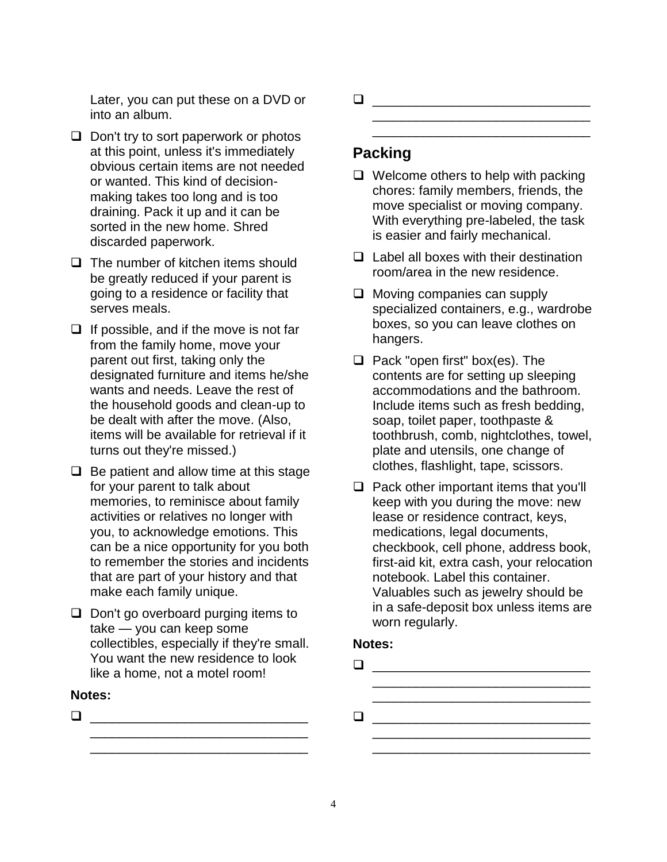Later, you can put these on a DVD or into an album.

- ❑ Don't try to sort paperwork or photos at this point, unless it's immediately obvious certain items are not needed or wanted. This kind of decisionmaking takes too long and is too draining. Pack it up and it can be sorted in the new home. Shred discarded paperwork.
- ❑ The number of kitchen items should be greatly reduced if your parent is going to a residence or facility that serves meals.
- ❑ If possible, and if the move is not far from the family home, move your parent out first, taking only the designated furniture and items he/she wants and needs. Leave the rest of the household goods and clean-up to be dealt with after the move. (Also, items will be available for retrieval if it turns out they're missed.)
- $\Box$  Be patient and allow time at this stage for your parent to talk about memories, to reminisce about family activities or relatives no longer with you, to acknowledge emotions. This can be a nice opportunity for you both to remember the stories and incidents that are part of your history and that make each family unique.
- ❑ Don't go overboard purging items to take — you can keep some collectibles, especially if they're small. You want the new residence to look like a home, not a motel room!

\_\_\_\_\_\_\_\_\_\_\_\_\_\_\_\_\_\_\_\_\_\_\_\_\_\_\_\_\_\_ \_\_\_\_\_\_\_\_\_\_\_\_\_\_\_\_\_\_\_\_\_\_\_\_\_\_\_\_\_\_

#### **Notes:**

❑ \_\_\_\_\_\_\_\_\_\_\_\_\_\_\_\_\_\_\_\_\_\_\_\_\_\_\_\_\_\_

❑ \_\_\_\_\_\_\_\_\_\_\_\_\_\_\_\_\_\_\_\_\_\_\_\_\_\_\_\_\_\_ \_\_\_\_\_\_\_\_\_\_\_\_\_\_\_\_\_\_\_\_\_\_\_\_\_\_\_\_\_\_

# **Packing**

❑ Welcome others to help with packing chores: family members, friends, the move specialist or moving company. With everything pre-labeled, the task is easier and fairly mechanical.

\_\_\_\_\_\_\_\_\_\_\_\_\_\_\_\_\_\_\_\_\_\_\_\_\_\_\_\_\_\_

- ❑ Label all boxes with their destination room/area in the new residence.
- ❑ Moving companies can supply specialized containers, e.g., wardrobe boxes, so you can leave clothes on hangers.
- ❑ Pack "open first" box(es). The contents are for setting up sleeping accommodations and the bathroom. Include items such as fresh bedding, soap, toilet paper, toothpaste & toothbrush, comb, nightclothes, towel, plate and utensils, one change of clothes, flashlight, tape, scissors.
- ❑ Pack other important items that you'll keep with you during the move: new lease or residence contract, keys, medications, legal documents, checkbook, cell phone, address book, first-aid kit, extra cash, your relocation notebook. Label this container. Valuables such as jewelry should be in a safe-deposit box unless items are worn regularly.

#### **Notes:**

| ப |  |  |  |
|---|--|--|--|
|   |  |  |  |
|   |  |  |  |
| ப |  |  |  |
|   |  |  |  |

\_\_\_\_\_\_\_\_\_\_\_\_\_\_\_\_\_\_\_\_\_\_\_\_\_\_\_\_\_\_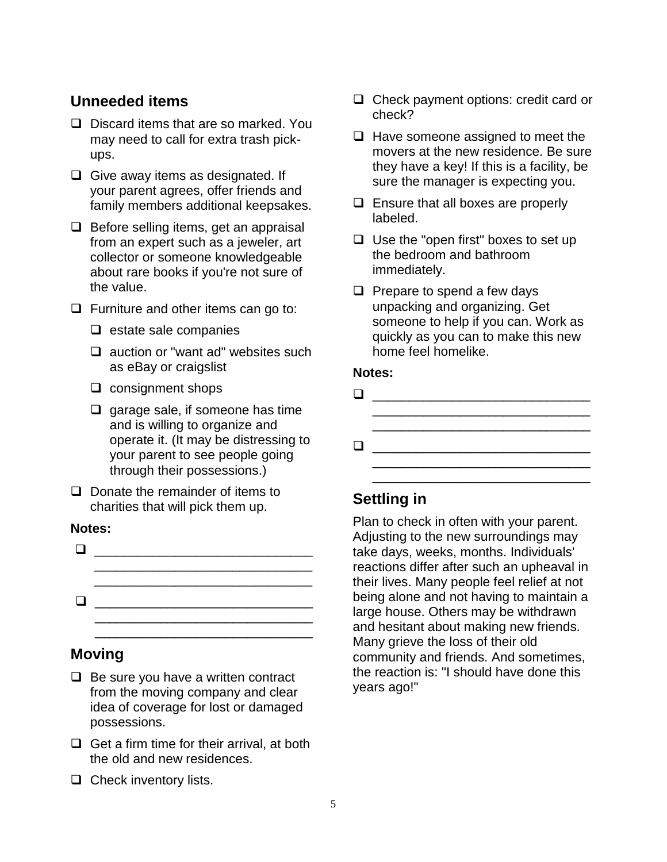# **Unneeded items**

- ❑ Discard items that are so marked. You may need to call for extra trash pickups.
- ❑ Give away items as designated. If your parent agrees, offer friends and family members additional keepsakes.
- ❑ Before selling items, get an appraisal from an expert such as a jeweler, art collector or someone knowledgeable about rare books if you're not sure of the value.
- ❑ Furniture and other items can go to:
	- ❑ estate sale companies
	- ❑ auction or "want ad" websites such as eBay or craigslist
	- ❑ consignment shops
	- ❑ garage sale, if someone has time and is willing to organize and operate it. (It may be distressing to your parent to see people going through their possessions.)
- ❑ Donate the remainder of items to charities that will pick them up.

#### **Notes:**

❑ \_\_\_\_\_\_\_\_\_\_\_\_\_\_\_\_\_\_\_\_\_\_\_\_\_\_\_\_\_\_ \_\_\_\_\_\_\_\_\_\_\_\_\_\_\_\_\_\_\_\_\_\_\_\_\_\_\_\_\_\_ \_\_\_\_\_\_\_\_\_\_\_\_\_\_\_\_\_\_\_\_\_\_\_\_\_\_\_\_\_\_ ❑ \_\_\_\_\_\_\_\_\_\_\_\_\_\_\_\_\_\_\_\_\_\_\_\_\_\_\_\_\_\_ \_\_\_\_\_\_\_\_\_\_\_\_\_\_\_\_\_\_\_\_\_\_\_\_\_\_\_\_\_\_ \_\_\_\_\_\_\_\_\_\_\_\_\_\_\_\_\_\_\_\_\_\_\_\_\_\_\_\_\_\_

# **Moving**

- ❑ Be sure you have a written contract from the moving company and clear idea of coverage for lost or damaged possessions.
- ❑ Get a firm time for their arrival, at both the old and new residences.
- ❑ Check inventory lists.
- ❑ Check payment options: credit card or check?
- ❑ Have someone assigned to meet the movers at the new residence. Be sure they have a key! If this is a facility, be sure the manager is expecting you.
- ❑ Ensure that all boxes are properly labeled.
- ❑ Use the "open first" boxes to set up the bedroom and bathroom immediately.
- ❑ Prepare to spend a few days unpacking and organizing. Get someone to help if you can. Work as quickly as you can to make this new home feel homelike.

#### **Notes:**

❑ \_\_\_\_\_\_\_\_\_\_\_\_\_\_\_\_\_\_\_\_\_\_\_\_\_\_\_\_\_\_ \_\_\_\_\_\_\_\_\_\_\_\_\_\_\_\_\_\_\_\_\_\_\_\_\_\_\_\_\_\_ ❑ \_\_\_\_\_\_\_\_\_\_\_\_\_\_\_\_\_\_\_\_\_\_\_\_\_\_\_\_\_\_ \_\_\_\_\_\_\_\_\_\_\_\_\_\_\_\_\_\_\_\_\_\_\_\_\_\_\_\_\_\_

\_\_\_\_\_\_\_\_\_\_\_\_\_\_\_\_\_\_\_\_\_\_\_\_\_\_\_\_\_\_

# **Settling in**

Plan to check in often with your parent. Adjusting to the new surroundings may take days, weeks, months. Individuals' reactions differ after such an upheaval in their lives. Many people feel relief at not being alone and not having to maintain a large house. Others may be withdrawn and hesitant about making new friends. Many grieve the loss of their old community and friends. And sometimes, the reaction is: "I should have done this years ago!"